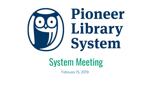

# System Meeting

February 15, 2019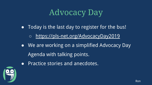## Advocacy Day

- Today is the last day to register for the bus!
	- <https://pls-net.org/AdvocacyDay2019>
- We are working on a simplified Advocacy Day Agenda with talking points.
- Practice stories and anecdotes.

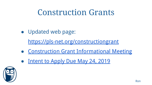### Construction Grants

● Updated web page:

<https://pls-net.org/constructiongrant>

- [Construction Grant Informational Meeting](https://pls-net.org/event/construction-grant-informational-meeting)
- [Intent to Apply Due May 24, 2019](https://docs.google.com/forms/d/e/1FAIpQLSc28KqrkczKknUIaZCEa0lqg5aWEeulp8o0_hQBBiENKby5Yw/viewform?usp=send_form)

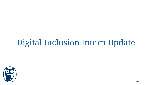# Digital Inclusion Intern Update

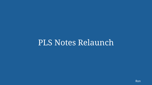#### PLS Notes Relaunch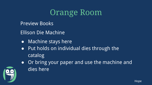## Orange Room

Preview Books

Ellison Die Machine

- Machine stays here
- Put holds on individual dies through the catalog
- Or bring your paper and use the machine and dies here

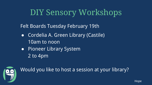## DIY Sensory Workshops

Felt Boards Tuesday February 19th

- Cordelia A. Green Library (Castile) 10am to noon
- Pioneer Library System 2 to 4pm



Would you like to host a session at your library?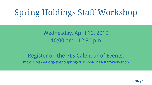# Spring Holdings Staff Workshop

Wednesday, April 10, 2019 10:00 am - 12:30 pm

Register on the PLS Calendar of Events: <https://pls-net.org/event/spring-2019-holdings-staff-workshop>

Kathryn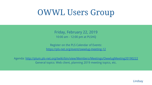## OWWL Users Group

Friday, February 22, 2019 10:00 am - 12:00 pm at PLSHQ

Register on the PLS Calendar of Events: <https://pls-net.org/event/owwlug-meeting-12>

Agenda: <http://plum.pls-net.org/twiki/bin/view/Members/Meetings/OwwlugMeeting20190222> General topics: Web client, planning 2019 meeting topics, etc.

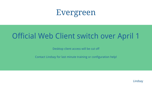## Evergreen

#### Official Web Client switch over April 1

Desktop client access will be cut off

Contact Lindsay for last minute training or configuration help!

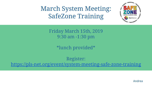#### March System Meeting: SafeZone Training



Friday March 15th, 2019 9:30 am -1:30 pm

\*lunch provided\*

Register: <https://pls-net.org/event/system-meeting-safe-zone-training>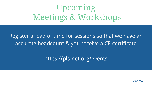## Upcoming Meetings & Workshops

#### Register ahead of time for sessions so that we have an accurate headcount & you receive a CE certificate

<https://pls-net.org/events>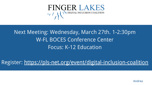

#### Next Meeting: Wednesday, March 27th. 1-2:30pm W-FL BOCES Conference Center Focus: K-12 Education

Register:<https://pls-net.org/event/digital-inclusion-coalition>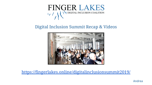

#### Digital Inclusion Summit Recap & Videos



<https://fingerlakes.online/digitalinclusionsummit2019/>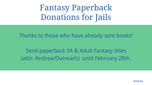Fantasy Paperback Donations for Jails

Thanks to those who have already sent books!

Send paperback YA & Adult Fantasy titles (attn: Andrea/Outreach) until February 28th.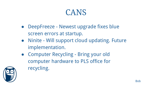#### CANS

- DeepFreeze Newest upgrade fixes blue screen errors at startup.
- Ninite Will support cloud updating. Future implementation.
- Computer Recycling Bring your old computer hardware to PLS office for recycling.

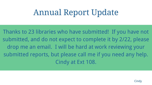# Annual Report Update

Thanks to 23 libraries who have submitted! If you have not submitted, and do not expect to complete it by 2/22, please drop me an email. I will be hard at work reviewing your submitted reports, but please call me if you need any help. Cindy at Ext 108.